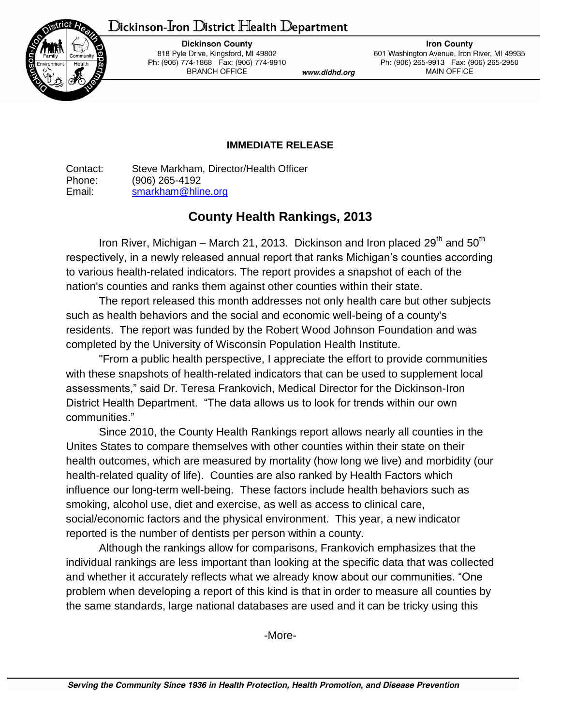## Dickinson-Iron District Health Department



**Dickinson County** 818 Pyle Drive, Kingsford, MI 49802 Ph: (906) 774-1868 Fax: (906) 774-9910 **BRANCH OFFICE** 

www.didhd.org

**Iron County** 601 Washington Avenue, Iron River, MI 49935 Ph: (906) 265-9913 Fax: (906) 265-2950 **MAIN OFFICE** 

## **IMMEDIATE RELEASE**

Contact: Steve Markham, Director/Health Officer Phone: (906) 265-4192 Email: [smarkham@hline.org](mailto:smarkham@hline.org)

## **County Health Rankings, 2013**

Iron River, Michigan – March 21, 2013. Dickinson and Iron placed  $29^{th}$  and  $50^{th}$ respectively, in a newly released annual report that ranks Michigan's counties according to various health-related indicators. The report provides a snapshot of each of the nation's counties and ranks them against other counties within their state.

The report released this month addresses not only health care but other subjects such as health behaviors and the social and economic well-being of a county's residents. The report was funded by the Robert Wood Johnson Foundation and was completed by the University of Wisconsin Population Health Institute.

"From a public health perspective, I appreciate the effort to provide communities with these snapshots of health-related indicators that can be used to supplement local assessments," said Dr. Teresa Frankovich, Medical Director for the Dickinson-Iron District Health Department. "The data allows us to look for trends within our own communities."

Since 2010, the County Health Rankings report allows nearly all counties in the Unites States to compare themselves with other counties within their state on their health outcomes, which are measured by mortality (how long we live) and morbidity (our health-related quality of life). Counties are also ranked by Health Factors which influence our long-term well-being. These factors include health behaviors such as smoking, alcohol use, diet and exercise, as well as access to clinical care, social/economic factors and the physical environment. This year, a new indicator reported is the number of dentists per person within a county.

Although the rankings allow for comparisons, Frankovich emphasizes that the individual rankings are less important than looking at the specific data that was collected and whether it accurately reflects what we already know about our communities. "One problem when developing a report of this kind is that in order to measure all counties by the same standards, large national databases are used and it can be tricky using this

-More-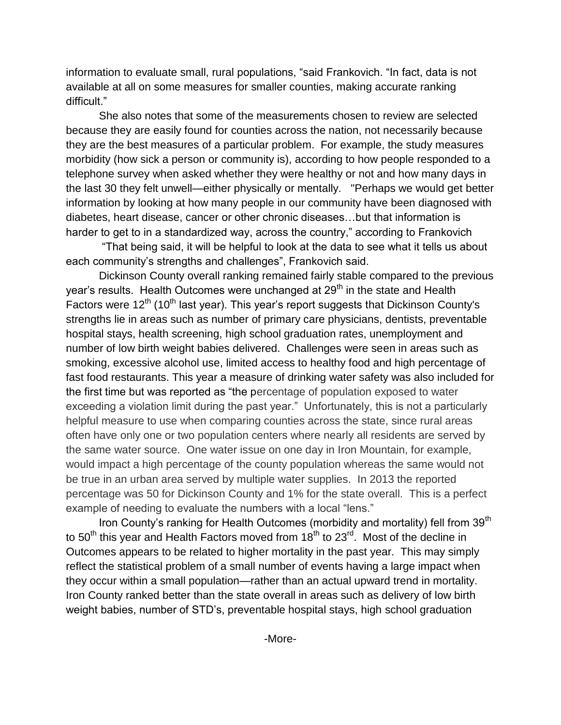information to evaluate small, rural populations, "said Frankovich. "In fact, data is not available at all on some measures for smaller counties, making accurate ranking difficult."

She also notes that some of the measurements chosen to review are selected because they are easily found for counties across the nation, not necessarily because they are the best measures of a particular problem. For example, the study measures morbidity (how sick a person or community is), according to how people responded to a telephone survey when asked whether they were healthy or not and how many days in the last 30 they felt unwell—either physically or mentally. "Perhaps we would get better information by looking at how many people in our community have been diagnosed with diabetes, heart disease, cancer or other chronic diseases…but that information is harder to get to in a standardized way, across the country," according to Frankovich

"That being said, it will be helpful to look at the data to see what it tells us about each community's strengths and challenges", Frankovich said.

Dickinson County overall ranking remained fairly stable compared to the previous year's results. Health Outcomes were unchanged at 29<sup>th</sup> in the state and Health Factors were  $12<sup>th</sup>$  (10<sup>th</sup> last year). This year's report suggests that Dickinson County's strengths lie in areas such as number of primary care physicians, dentists, preventable hospital stays, health screening, high school graduation rates, unemployment and number of low birth weight babies delivered. Challenges were seen in areas such as smoking, excessive alcohol use, limited access to healthy food and high percentage of fast food restaurants. This year a measure of drinking water safety was also included for the first time but was reported as "the percentage of population exposed to water exceeding a violation limit during the past year." Unfortunately, this is not a particularly helpful measure to use when comparing counties across the state, since rural areas often have only one or two population centers where nearly all residents are served by the same water source. One water issue on one day in Iron Mountain, for example, would impact a high percentage of the county population whereas the same would not be true in an urban area served by multiple water supplies. In 2013 the reported percentage was 50 for Dickinson County and 1% for the state overall. This is a perfect example of needing to evaluate the numbers with a local "lens."

Iron County's ranking for Health Outcomes (morbidity and mortality) fell from 39<sup>th</sup> to  $50<sup>th</sup>$  this year and Health Factors moved from  $18<sup>th</sup>$  to  $23<sup>rd</sup>$ . Most of the decline in Outcomes appears to be related to higher mortality in the past year. This may simply reflect the statistical problem of a small number of events having a large impact when they occur within a small population—rather than an actual upward trend in mortality. Iron County ranked better than the state overall in areas such as delivery of low birth weight babies, number of STD's, preventable hospital stays, high school graduation

-More-